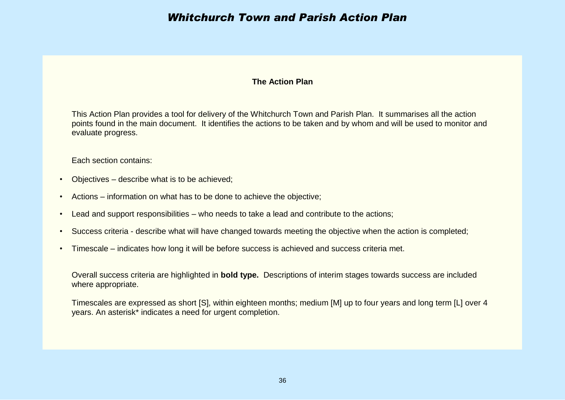#### **The Action Plan**

This Action Plan provides a tool for delivery of the Whitchurch Town and Parish Plan. It summarises all the action points found in the main document. It identifies the actions to be taken and by whom and will be used to monitor and evaluate progress.

Each section contains:

- Objectives describe what is to be achieved;
- Actions information on what has to be done to achieve the objective;
- Lead and support responsibilities who needs to take a lead and contribute to the actions;
- Success criteria describe what will have changed towards meeting the objective when the action is completed;
- Timescale indicates how long it will be before success is achieved and success criteria met.

Overall success criteria are highlighted in **bold type.** Descriptions of interim stages towards success are included where appropriate.

Timescales are expressed as short [S], within eighteen months; medium [M] up to four years and long term [L] over 4 years. An asterisk\* indicates a need for urgent completion.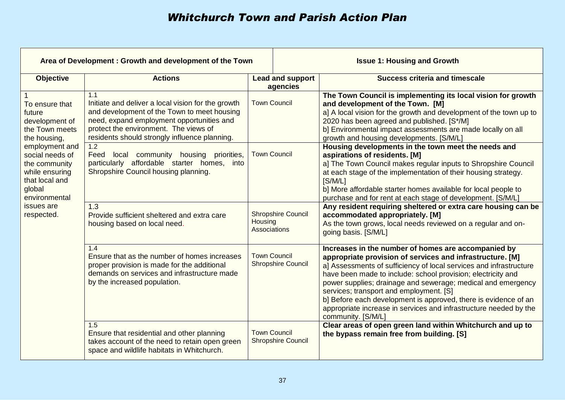| Area of Development: Growth and development of the Town                                                                                                                                                                                                                               |                                                                                                                                                                                                                                                                        | <b>Issue 1: Housing and Growth</b>                                                                                                                                                                                                                                                                                                                                   |                                     |                                                                                                                                                                                                                                                                                                                                                                                                                                                                                                                                 |
|---------------------------------------------------------------------------------------------------------------------------------------------------------------------------------------------------------------------------------------------------------------------------------------|------------------------------------------------------------------------------------------------------------------------------------------------------------------------------------------------------------------------------------------------------------------------|----------------------------------------------------------------------------------------------------------------------------------------------------------------------------------------------------------------------------------------------------------------------------------------------------------------------------------------------------------------------|-------------------------------------|---------------------------------------------------------------------------------------------------------------------------------------------------------------------------------------------------------------------------------------------------------------------------------------------------------------------------------------------------------------------------------------------------------------------------------------------------------------------------------------------------------------------------------|
| <b>Objective</b>                                                                                                                                                                                                                                                                      | <b>Actions</b>                                                                                                                                                                                                                                                         |                                                                                                                                                                                                                                                                                                                                                                      | <b>Lead and support</b><br>agencies | <b>Success criteria and timescale</b>                                                                                                                                                                                                                                                                                                                                                                                                                                                                                           |
| To ensure that<br>future<br>development of<br>the Town meets<br>the housing,                                                                                                                                                                                                          | 1.1<br><b>Town Council</b><br>Initiate and deliver a local vision for the growth<br>and development of the Town to meet housing<br>need, expand employment opportunities and<br>protect the environment. The views of<br>residents should strongly influence planning. |                                                                                                                                                                                                                                                                                                                                                                      |                                     | The Town Council is implementing its local vision for growth<br>and development of the Town. [M]<br>a] A local vision for the growth and development of the town up to<br>2020 has been agreed and published. [S*/M]<br>b] Environmental impact assessments are made locally on all<br>growth and housing developments. [S/M/L]                                                                                                                                                                                                 |
| employment and<br>1.2<br><b>Town Council</b><br>Feed<br>social needs of<br>local community housing priorities,<br>particularly affordable starter homes, into<br>the community<br>Shropshire Council housing planning.<br>while ensuring<br>that local and<br>global<br>environmental |                                                                                                                                                                                                                                                                        | Housing developments in the town meet the needs and<br>aspirations of residents. [M]<br>a] The Town Council makes regular inputs to Shropshire Council<br>at each stage of the implementation of their housing strategy.<br>[S/M/L]<br>b] More affordable starter homes available for local people to<br>purchase and for rent at each stage of development. [S/M/L] |                                     |                                                                                                                                                                                                                                                                                                                                                                                                                                                                                                                                 |
| issues are<br>respected.                                                                                                                                                                                                                                                              | 1.3<br>Provide sufficient sheltered and extra care<br>housing based on local need.                                                                                                                                                                                     | Housing<br>Associations                                                                                                                                                                                                                                                                                                                                              | <b>Shropshire Council</b>           | Any resident requiring sheltered or extra care housing can be<br>accommodated appropriately. [M]<br>As the town grows, local needs reviewed on a regular and on-<br>going basis. [S/M/L]                                                                                                                                                                                                                                                                                                                                        |
|                                                                                                                                                                                                                                                                                       | 1.4<br>Ensure that as the number of homes increases<br>proper provision is made for the additional<br>demands on services and infrastructure made<br>by the increased population.                                                                                      | <b>Town Council</b><br><b>Shropshire Council</b>                                                                                                                                                                                                                                                                                                                     |                                     | Increases in the number of homes are accompanied by<br>appropriate provision of services and infrastructure. [M]<br>a] Assessments of sufficiency of local services and infrastructure<br>have been made to include: school provision; electricity and<br>power supplies; drainage and sewerage; medical and emergency<br>services; transport and employment. [S]<br>b] Before each development is approved, there is evidence of an<br>appropriate increase in services and infrastructure needed by the<br>community. [S/M/L] |
|                                                                                                                                                                                                                                                                                       | 1.5<br>Ensure that residential and other planning<br>takes account of the need to retain open green<br>space and wildlife habitats in Whitchurch.                                                                                                                      | <b>Town Council</b>                                                                                                                                                                                                                                                                                                                                                  | <b>Shropshire Council</b>           | Clear areas of open green land within Whitchurch and up to<br>the bypass remain free from building. [S]                                                                                                                                                                                                                                                                                                                                                                                                                         |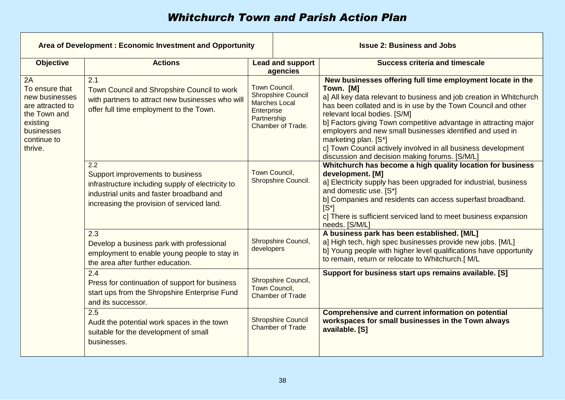| Area of Development: Economic Investment and Opportunity                                                                       |                                                                                                                                                                                         | <b>Issue 2: Business and Jobs</b>                                                                                                                                                                 |                                                      |                                                                                                                                                                                                                                                                                                                                                                                                                                                                                                                             |
|--------------------------------------------------------------------------------------------------------------------------------|-----------------------------------------------------------------------------------------------------------------------------------------------------------------------------------------|---------------------------------------------------------------------------------------------------------------------------------------------------------------------------------------------------|------------------------------------------------------|-----------------------------------------------------------------------------------------------------------------------------------------------------------------------------------------------------------------------------------------------------------------------------------------------------------------------------------------------------------------------------------------------------------------------------------------------------------------------------------------------------------------------------|
| <b>Objective</b>                                                                                                               | <b>Actions</b>                                                                                                                                                                          |                                                                                                                                                                                                   | <b>Lead and support</b><br>agencies                  | <b>Success criteria and timescale</b>                                                                                                                                                                                                                                                                                                                                                                                                                                                                                       |
| 2A<br>To ensure that<br>new businesses<br>are attracted to<br>the Town and<br>existing<br>businesses<br>continue to<br>thrive. | 2.1<br>Town Council and Shropshire Council to work<br>with partners to attract new businesses who will<br>offer full time employment to the Town.                                       | Town Council.<br><b>Shropshire Council</b><br><b>Marches Local</b><br>Enterprise<br>Partnership<br>Chamber of Trade.<br>Town Council,<br>Shropshire Council.<br>Shropshire Council,<br>developers |                                                      | New businesses offering full time employment locate in the<br>Town. [M]<br>a] All key data relevant to business and job creation in Whitchurch<br>has been collated and is in use by the Town Council and other<br>relevant local bodies. [S/M]<br>b] Factors giving Town competitive advantage in attracting major<br>employers and new small businesses identified and used in<br>marketing plan. [S*]<br>c] Town Council actively involved in all business development<br>discussion and decision making forums. [S/M/L] |
|                                                                                                                                | 2.2<br>Support improvements to business<br>infrastructure including supply of electricity to<br>industrial units and faster broadband and<br>increasing the provision of serviced land. |                                                                                                                                                                                                   |                                                      | Whitchurch has become a high quality location for business<br>development. [M]<br>a] Electricity supply has been upgraded for industrial, business<br>and domestic use. [S*]<br>b] Companies and residents can access superfast broadband.<br>$ S^* $<br>c] There is sufficient serviced land to meet business expansion<br>needs. [S/M/L]                                                                                                                                                                                  |
|                                                                                                                                | 2.3<br>Develop a business park with professional<br>employment to enable young people to stay in<br>the area after further education.                                                   |                                                                                                                                                                                                   |                                                      | A business park has been established. [M/L]<br>a] High tech, high spec businesses provide new jobs. [M/L]<br>b] Young people with higher level qualifications have opportunity<br>to remain, return or relocate to Whitchurch.[ M/L                                                                                                                                                                                                                                                                                         |
|                                                                                                                                | 2.4<br>Press for continuation of support for business<br>start ups from the Shropshire Enterprise Fund<br>and its successor.                                                            | Town Council,                                                                                                                                                                                     | Shropshire Council,<br><b>Chamber of Trade</b>       | Support for business start ups remains available. [S]                                                                                                                                                                                                                                                                                                                                                                                                                                                                       |
|                                                                                                                                | 2.5<br>Audit the potential work spaces in the town<br>suitable for the development of small<br>businesses.                                                                              |                                                                                                                                                                                                   | <b>Shropshire Council</b><br><b>Chamber of Trade</b> | <b>Comprehensive and current information on potential</b><br>workspaces for small businesses in the Town always<br>available. [S]                                                                                                                                                                                                                                                                                                                                                                                           |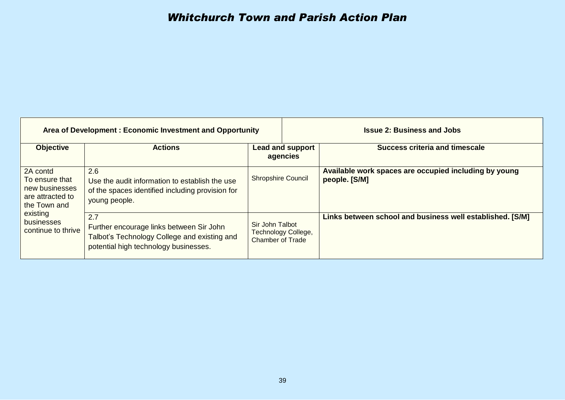| Area of Development: Economic Investment and Opportunity                         |                                                                                                                                                                                                               |                              | <b>Issue 2: Business and Jobs</b>                                      |
|----------------------------------------------------------------------------------|---------------------------------------------------------------------------------------------------------------------------------------------------------------------------------------------------------------|------------------------------|------------------------------------------------------------------------|
| <b>Objective</b>                                                                 | <b>Actions</b>                                                                                                                                                                                                | Lead and support<br>agencies | <b>Success criteria and timescale</b>                                  |
| 2A contd<br>To ensure that<br>new businesses<br>are attracted to<br>the Town and | 2.6<br>Use the audit information to establish the use<br>of the spaces identified including provision for<br>young people.                                                                                    | <b>Shropshire Council</b>    | Available work spaces are occupied including by young<br>people. [S/M] |
| existing<br>businesses<br>continue to thrive                                     | 2.7<br>Sir John Talbot<br>Further encourage links between Sir John<br>Technology College,<br>Talbot's Technology College and existing and<br><b>Chamber of Trade</b><br>potential high technology businesses. |                              | Links between school and business well established. [S/M]              |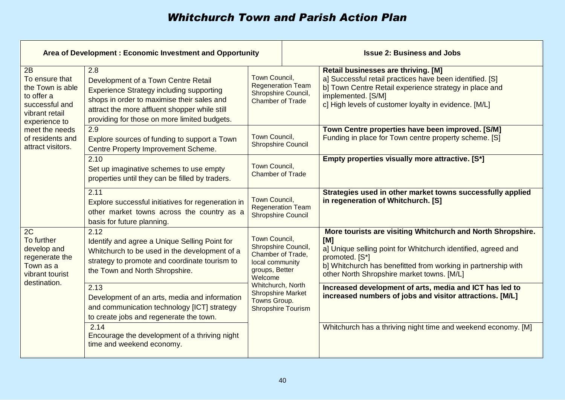| Area of Development: Economic Investment and Opportunity                                                                                                                                                                                                      |                                                                                                                                                                                                                                                                                                        |                                                                                                                     | <b>Issue 2: Business and Jobs</b>                                                                                                                                                                                                                                    |                                                                                                                                                                                                                                                 |
|---------------------------------------------------------------------------------------------------------------------------------------------------------------------------------------------------------------------------------------------------------------|--------------------------------------------------------------------------------------------------------------------------------------------------------------------------------------------------------------------------------------------------------------------------------------------------------|---------------------------------------------------------------------------------------------------------------------|----------------------------------------------------------------------------------------------------------------------------------------------------------------------------------------------------------------------------------------------------------------------|-------------------------------------------------------------------------------------------------------------------------------------------------------------------------------------------------------------------------------------------------|
| 2B<br>To ensure that<br>the Town is able<br>to offer a<br>successful and<br>vibrant retail<br>experience to                                                                                                                                                   | 2.8<br>Development of a Town Centre Retail<br><b>Experience Strategy including supporting</b><br>shops in order to maximise their sales and<br>attract the more affluent shopper while still<br>providing for those on more limited budgets.                                                           | Town Council,<br><b>Regeneration Team</b><br>Shropshire Council,<br><b>Chamber of Trade</b>                         |                                                                                                                                                                                                                                                                      | <b>Retail businesses are thriving. [M]</b><br>a] Successful retail practices have been identified. [S]<br>b] Town Centre Retail experience strategy in place and<br>implemented. [S/M]<br>c] High levels of customer loyalty in evidence. [M/L] |
| meet the needs<br>of residents and<br>attract visitors.                                                                                                                                                                                                       | 2.9<br>Explore sources of funding to support a Town<br>Centre Property Improvement Scheme.                                                                                                                                                                                                             | Town Council,<br><b>Shropshire Council</b>                                                                          |                                                                                                                                                                                                                                                                      | Town Centre properties have been improved. [S/M]<br>Funding in place for Town centre property scheme. [S]                                                                                                                                       |
|                                                                                                                                                                                                                                                               | 2.10<br>Set up imaginative schemes to use empty<br>properties until they can be filled by traders.                                                                                                                                                                                                     | Town Council,<br><b>Chamber of Trade</b>                                                                            |                                                                                                                                                                                                                                                                      | Empty properties visually more attractive. [S*]                                                                                                                                                                                                 |
|                                                                                                                                                                                                                                                               | 2.11<br>Explore successful initiatives for regeneration in<br>other market towns across the country as a<br>basis for future planning.                                                                                                                                                                 | Town Council,<br><b>Regeneration Team</b><br><b>Shropshire Council</b>                                              |                                                                                                                                                                                                                                                                      | Strategies used in other market towns successfully applied<br>in regeneration of Whitchurch. [S]                                                                                                                                                |
| 2C<br>To further<br>develop and<br>regenerate the<br>Town as a<br>vibrant tourist                                                                                                                                                                             | 2.12<br>Town Council,<br>Identify and agree a Unique Selling Point for<br>Shropshire Council,<br>Whitchurch to be used in the development of a<br>Chamber of Trade,<br>strategy to promote and coordinate tourism to<br>local community<br>groups, Better<br>the Town and North Shropshire.<br>Welcome |                                                                                                                     | More tourists are visiting Whitchurch and North Shropshire.<br>[M]<br>a] Unique selling point for Whitchurch identified, agreed and<br>promoted. [S*]<br>b] Whitchurch has benefitted from working in partnership with<br>other North Shropshire market towns. [M/L] |                                                                                                                                                                                                                                                 |
| destination.<br>Whitchurch, North<br>2.13<br><b>Shropshire Market</b><br>Development of an arts, media and information<br>Towns Group.<br>and communication technology [ICT] strategy<br><b>Shropshire Tourism</b><br>to create jobs and regenerate the town. |                                                                                                                                                                                                                                                                                                        | Increased development of arts, media and ICT has led to<br>increased numbers of jobs and visitor attractions. [M/L] |                                                                                                                                                                                                                                                                      |                                                                                                                                                                                                                                                 |
|                                                                                                                                                                                                                                                               | 2.14<br>Encourage the development of a thriving night<br>time and weekend economy.                                                                                                                                                                                                                     |                                                                                                                     |                                                                                                                                                                                                                                                                      | Whitchurch has a thriving night time and weekend economy. [M]                                                                                                                                                                                   |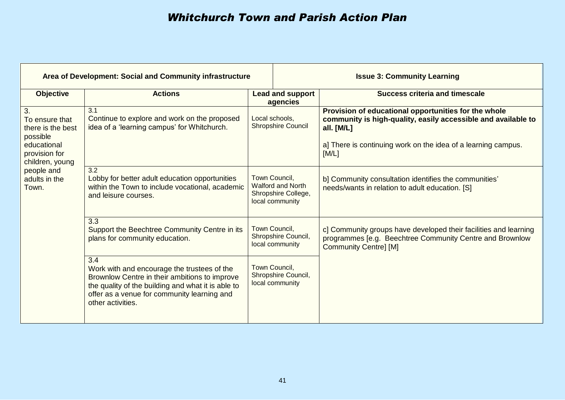| Area of Development: Social and Community infrastructure                                                                                                                                                                                                                                 |                                                                                                                                  |                                                                                     | <b>Issue 3: Community Learning</b>                                                                                                                                                                            |
|------------------------------------------------------------------------------------------------------------------------------------------------------------------------------------------------------------------------------------------------------------------------------------------|----------------------------------------------------------------------------------------------------------------------------------|-------------------------------------------------------------------------------------|---------------------------------------------------------------------------------------------------------------------------------------------------------------------------------------------------------------|
| <b>Objective</b>                                                                                                                                                                                                                                                                         | <b>Actions</b>                                                                                                                   | <b>Lead and support</b><br>agencies                                                 | <b>Success criteria and timescale</b>                                                                                                                                                                         |
| 3.<br>To ensure that<br>there is the best<br>possible<br>educational<br>provision for<br>children, young<br>people and<br>adults in the<br>Town.                                                                                                                                         | 3.1<br>Continue to explore and work on the proposed<br>idea of a 'learning campus' for Whitchurch.                               | Local schools,<br><b>Shropshire Council</b>                                         | Provision of educational opportunities for the whole<br>community is high-quality, easily accessible and available to<br>all. [M/L]<br>a] There is continuing work on the idea of a learning campus.<br>[M/L] |
|                                                                                                                                                                                                                                                                                          | 3.2<br>Lobby for better adult education opportunities<br>within the Town to include vocational, academic<br>and leisure courses. | Town Council,<br><b>Walford and North</b><br>Shropshire College,<br>local community | b] Community consultation identifies the communities'<br>needs/wants in relation to adult education. [S]                                                                                                      |
|                                                                                                                                                                                                                                                                                          | 3.3<br>Support the Beechtree Community Centre in its<br>plans for community education.                                           | Town Council,<br>Shropshire Council,<br>local community                             | c] Community groups have developed their facilities and learning<br>programmes [e.g. Beechtree Community Centre and Brownlow<br><b>Community Centre] [M]</b>                                                  |
| 3.4<br>Town Council,<br>Work with and encourage the trustees of the<br>Shropshire Council,<br>Brownlow Centre in their ambitions to improve<br>local community<br>the quality of the building and what it is able to<br>offer as a venue for community learning and<br>other activities. |                                                                                                                                  |                                                                                     |                                                                                                                                                                                                               |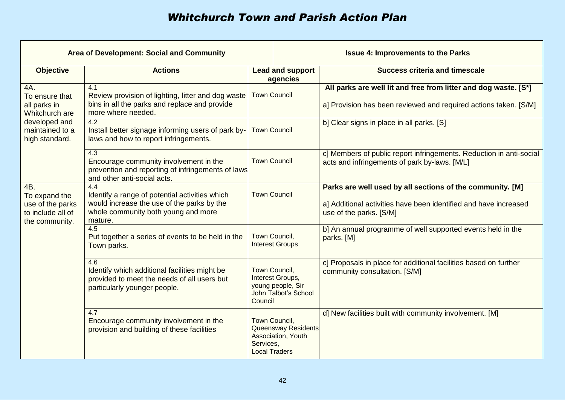| <b>Area of Development: Social and Community</b>                                                                                                                                                                                                                                                                                                       |                                                                                                                                                         |                                                                                                   |                                                                           | <b>Issue 4: Improvements to the Parks</b>                                                                                                                |
|--------------------------------------------------------------------------------------------------------------------------------------------------------------------------------------------------------------------------------------------------------------------------------------------------------------------------------------------------------|---------------------------------------------------------------------------------------------------------------------------------------------------------|---------------------------------------------------------------------------------------------------|---------------------------------------------------------------------------|----------------------------------------------------------------------------------------------------------------------------------------------------------|
| <b>Objective</b>                                                                                                                                                                                                                                                                                                                                       | <b>Actions</b>                                                                                                                                          |                                                                                                   | <b>Lead and support</b><br>agencies                                       | <b>Success criteria and timescale</b>                                                                                                                    |
| 4A.<br>To ensure that<br>all parks in<br>Whitchurch are                                                                                                                                                                                                                                                                                                | 4.1<br><b>Town Council</b><br>Review provision of lighting, litter and dog waste<br>bins in all the parks and replace and provide<br>more where needed. |                                                                                                   |                                                                           | All parks are well lit and free from litter and dog waste. [S*]<br>a] Provision has been reviewed and required actions taken. [S/M]                      |
| developed and<br>maintained to a<br>high standard.                                                                                                                                                                                                                                                                                                     | 4.2<br>Install better signage informing users of park by-<br>laws and how to report infringements.                                                      | <b>Town Council</b>                                                                               |                                                                           | b] Clear signs in place in all parks. [S]                                                                                                                |
|                                                                                                                                                                                                                                                                                                                                                        | 4.3<br>Encourage community involvement in the<br>prevention and reporting of infringements of laws<br>and other anti-social acts.                       | <b>Town Council</b>                                                                               |                                                                           | c] Members of public report infringements. Reduction in anti-social<br>acts and infringements of park by-laws. [M/L]                                     |
| 4B.<br>To expand the<br>use of the parks<br>to include all of<br>the community.                                                                                                                                                                                                                                                                        | 4.4<br>Identify a range of potential activities which<br>would increase the use of the parks by the<br>whole community both young and more<br>mature.   | <b>Town Council</b>                                                                               |                                                                           | Parks are well used by all sections of the community. [M]<br>a] Additional activities have been identified and have increased<br>use of the parks. [S/M] |
| 4.5<br>Town Council,<br>Put together a series of events to be held in the<br><b>Interest Groups</b><br>Town parks.<br>4.6<br>Town Council,<br>Identify which additional facilities might be<br>Interest Groups,<br>provided to meet the needs of all users but<br>young people, Sir<br>particularly younger people.<br>John Talbot's School<br>Council |                                                                                                                                                         |                                                                                                   | b] An annual programme of well supported events held in the<br>parks. [M] |                                                                                                                                                          |
|                                                                                                                                                                                                                                                                                                                                                        |                                                                                                                                                         | c] Proposals in place for additional facilities based on further<br>community consultation. [S/M] |                                                                           |                                                                                                                                                          |
|                                                                                                                                                                                                                                                                                                                                                        | 4.7<br>Encourage community involvement in the<br>provision and building of these facilities                                                             | Town Council,<br>Queensway Residents<br>Association, Youth<br>Services,<br><b>Local Traders</b>   |                                                                           | d] New facilities built with community involvement. [M]                                                                                                  |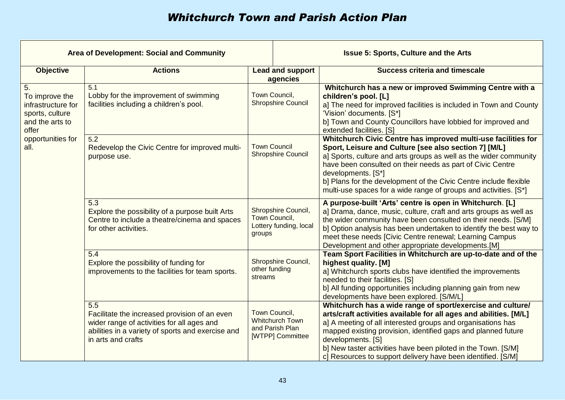| <b>Area of Development: Social and Community</b>                                                                                                                                                                          |                                                                                                                                                                               | <b>Issue 5: Sports, Culture and the Arts</b> |                                                                                                                                                                                                                                                                                                                                                                                                                          |                                                                                                                                                                                                                                                                                                                                                                                                                       |
|---------------------------------------------------------------------------------------------------------------------------------------------------------------------------------------------------------------------------|-------------------------------------------------------------------------------------------------------------------------------------------------------------------------------|----------------------------------------------|--------------------------------------------------------------------------------------------------------------------------------------------------------------------------------------------------------------------------------------------------------------------------------------------------------------------------------------------------------------------------------------------------------------------------|-----------------------------------------------------------------------------------------------------------------------------------------------------------------------------------------------------------------------------------------------------------------------------------------------------------------------------------------------------------------------------------------------------------------------|
| <b>Objective</b>                                                                                                                                                                                                          | <b>Actions</b>                                                                                                                                                                |                                              | <b>Lead and support</b><br>agencies                                                                                                                                                                                                                                                                                                                                                                                      | <b>Success criteria and timescale</b>                                                                                                                                                                                                                                                                                                                                                                                 |
| 5.<br>To improve the<br>infrastructure for<br>sports, culture<br>and the arts to<br>offer                                                                                                                                 | $\overline{5.1}$<br>Lobby for the improvement of swimming<br>facilities including a children's pool.                                                                          | Town Council,<br><b>Shropshire Council</b>   |                                                                                                                                                                                                                                                                                                                                                                                                                          | Whitchurch has a new or improved Swimming Centre with a<br>children's pool. [L]<br>a] The need for improved facilities is included in Town and County<br>'Vision' documents. [S*]<br>b] Town and County Councillors have lobbied for improved and<br>extended facilities. [S]                                                                                                                                         |
| opportunities for<br>all.                                                                                                                                                                                                 | 5.2<br><b>Town Council</b><br>Redevelop the Civic Centre for improved multi-<br><b>Shropshire Council</b><br>purpose use.                                                     |                                              | Whitchurch Civic Centre has improved multi-use facilities for<br>Sport, Leisure and Culture [see also section 7] [M/L]<br>a] Sports, culture and arts groups as well as the wider community<br>have been consulted on their needs as part of Civic Centre<br>developments. [S*]<br>b] Plans for the development of the Civic Centre include flexible<br>multi-use spaces for a wide range of groups and activities. [S*] |                                                                                                                                                                                                                                                                                                                                                                                                                       |
| $\overline{5.3}$<br>Shropshire Council,<br>Explore the possibility of a purpose built Arts<br>Town Council,<br>Centre to include a theatre/cinema and spaces<br>Lottery funding, local<br>for other activities.<br>groups |                                                                                                                                                                               |                                              | A purpose-built 'Arts' centre is open in Whitchurch. [L]<br>a] Drama, dance, music, culture, craft and arts groups as well as<br>the wider community have been consulted on their needs. [S/M]<br>b] Option analysis has been undertaken to identify the best way to<br>meet these needs [Civic Centre renewal; Learning Campus<br>Development and other appropriate developments.[M]                                    |                                                                                                                                                                                                                                                                                                                                                                                                                       |
|                                                                                                                                                                                                                           | 5.4<br>Explore the possibility of funding for<br>improvements to the facilities for team sports.                                                                              | other funding<br>streams                     | Shropshire Council,                                                                                                                                                                                                                                                                                                                                                                                                      | Team Sport Facilities in Whitchurch are up-to-date and of the<br>highest quality. [M]<br>a] Whitchurch sports clubs have identified the improvements<br>needed to their facilities. [S]<br>b] All funding opportunities including planning gain from new<br>developments have been explored. [S/M/L]                                                                                                                  |
|                                                                                                                                                                                                                           | 5.5<br>Facilitate the increased provision of an even<br>wider range of activities for all ages and<br>abilities in a variety of sports and exercise and<br>in arts and crafts | Town Council,                                | <b>Whitchurch Town</b><br>and Parish Plan<br>[WTPP] Committee                                                                                                                                                                                                                                                                                                                                                            | Whitchurch has a wide range of sport/exercise and culture/<br>arts/craft activities available for all ages and abilities. [M/L]<br>a] A meeting of all interested groups and organisations has<br>mapped existing provision, identified gaps and planned future<br>developments. [S]<br>b] New taster activities have been piloted in the Town. [S/M]<br>c] Resources to support delivery have been identified. [S/M] |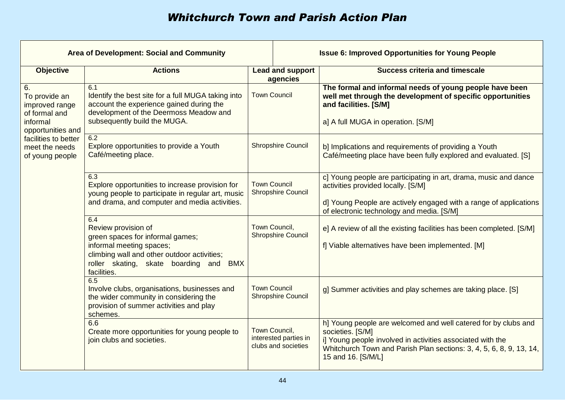| Area of Development: Social and Community                          |                                                                                                                                                                                                              |                                                  |                                                                                                                         | <b>Issue 6: Improved Opportunities for Young People</b>                                                                                                                                                                                       |
|--------------------------------------------------------------------|--------------------------------------------------------------------------------------------------------------------------------------------------------------------------------------------------------------|--------------------------------------------------|-------------------------------------------------------------------------------------------------------------------------|-----------------------------------------------------------------------------------------------------------------------------------------------------------------------------------------------------------------------------------------------|
| <b>Objective</b>                                                   | <b>Actions</b>                                                                                                                                                                                               |                                                  | <b>Lead and support</b><br>agencies                                                                                     | <b>Success criteria and timescale</b>                                                                                                                                                                                                         |
| 6.<br>To provide an<br>improved range<br>of formal and<br>informal | 6.1<br>Identify the best site for a full MUGA taking into<br>account the experience gained during the<br>development of the Deermoss Meadow and<br>subsequently build the MUGA.                              | <b>Town Council</b>                              |                                                                                                                         | The formal and informal needs of young people have been<br>well met through the development of specific opportunities<br>and facilities. [S/M]<br>a] A full MUGA in operation. [S/M]                                                          |
| facilities to better<br>meet the needs<br>of young people          | opportunities and<br>6.2<br><b>Shropshire Council</b><br>Explore opportunities to provide a Youth<br>Café/meeting place.                                                                                     |                                                  | b] Implications and requirements of providing a Youth<br>Café/meeting place have been fully explored and evaluated. [S] |                                                                                                                                                                                                                                               |
|                                                                    | 6.3<br>Explore opportunities to increase provision for<br>young people to participate in regular art, music<br>and drama, and computer and media activities.                                                 | <b>Town Council</b><br><b>Shropshire Council</b> |                                                                                                                         | c] Young people are participating in art, drama, music and dance<br>activities provided locally. [S/M]<br>d] Young People are actively engaged with a range of applications<br>of electronic technology and media. [S/M]                      |
|                                                                    | 6.4<br>Review provision of<br>green spaces for informal games;<br>informal meeting spaces;<br>climbing wall and other outdoor activities;<br>roller skating, skate boarding and<br><b>BMX</b><br>facilities. | Town Council,                                    | <b>Shropshire Council</b>                                                                                               | e] A review of all the existing facilities has been completed. [S/M]<br>f] Viable alternatives have been implemented. [M]                                                                                                                     |
|                                                                    | 6.5<br>Involve clubs, organisations, businesses and<br>the wider community in considering the<br>provision of summer activities and play<br>schemes.                                                         | <b>Town Council</b>                              | <b>Shropshire Council</b>                                                                                               | g] Summer activities and play schemes are taking place. [S]                                                                                                                                                                                   |
|                                                                    | 6.6<br>Create more opportunities for young people to<br>join clubs and societies.                                                                                                                            | Town Council,                                    | interested parties in<br>clubs and societies                                                                            | h] Young people are welcomed and well catered for by clubs and<br>societies. [S/M]<br>i] Young people involved in activities associated with the<br>Whitchurch Town and Parish Plan sections: 3, 4, 5, 6, 8, 9, 13, 14,<br>15 and 16. [S/M/L] |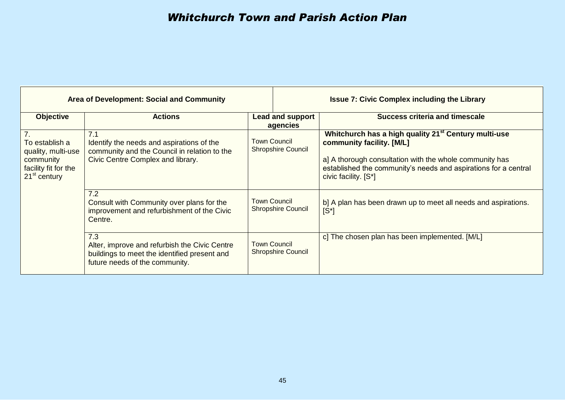| <b>Area of Development: Social and Community</b>                                                              |                                                                                                                                        |                                                  |                           | <b>Issue 7: Civic Complex including the Library</b>                                                                                                                                                                                                 |
|---------------------------------------------------------------------------------------------------------------|----------------------------------------------------------------------------------------------------------------------------------------|--------------------------------------------------|---------------------------|-----------------------------------------------------------------------------------------------------------------------------------------------------------------------------------------------------------------------------------------------------|
| <b>Objective</b>                                                                                              | <b>Actions</b>                                                                                                                         | <b>Lead and support</b><br>agencies              |                           | <b>Success criteria and timescale</b>                                                                                                                                                                                                               |
| 7 <sub>1</sub><br>To establish a<br>quality, multi-use<br>community<br>facility fit for the<br>$21st$ century | 7.1<br>Identify the needs and aspirations of the<br>community and the Council in relation to the<br>Civic Centre Complex and library.  | <b>Town Council</b><br><b>Shropshire Council</b> |                           | Whitchurch has a high quality 21 <sup>st</sup> Century multi-use<br>community facility. [M/L]<br>a] A thorough consultation with the whole community has<br>established the community's needs and aspirations for a central<br>civic facility. [S*] |
|                                                                                                               | 7.2<br>Consult with Community over plans for the<br>improvement and refurbishment of the Civic<br>Centre.                              | <b>Town Council</b><br><b>Shropshire Council</b> |                           | b] A plan has been drawn up to meet all needs and aspirations.<br>$[S^*]$                                                                                                                                                                           |
|                                                                                                               | 7.3<br>Alter, improve and refurbish the Civic Centre<br>buildings to meet the identified present and<br>future needs of the community. | <b>Town Council</b>                              | <b>Shropshire Council</b> | c] The chosen plan has been implemented. [M/L]                                                                                                                                                                                                      |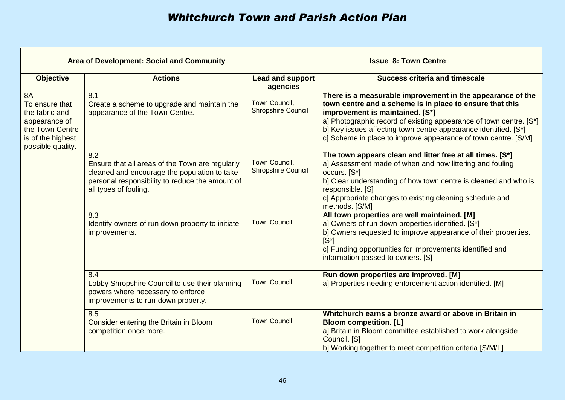| Area of Development: Social and Community                                                                                   |                                                                                                                                                                                    |                                                                                                                                                               | <b>Issue 8: Town Centre</b>         |                                                                                                                                                                                                                                                                                                                                                                      |  |
|-----------------------------------------------------------------------------------------------------------------------------|------------------------------------------------------------------------------------------------------------------------------------------------------------------------------------|---------------------------------------------------------------------------------------------------------------------------------------------------------------|-------------------------------------|----------------------------------------------------------------------------------------------------------------------------------------------------------------------------------------------------------------------------------------------------------------------------------------------------------------------------------------------------------------------|--|
| <b>Objective</b>                                                                                                            | <b>Actions</b>                                                                                                                                                                     |                                                                                                                                                               | <b>Lead and support</b><br>agencies | <b>Success criteria and timescale</b>                                                                                                                                                                                                                                                                                                                                |  |
| <b>8A</b><br>To ensure that<br>the fabric and<br>appearance of<br>the Town Centre<br>is of the highest<br>possible quality. | 8.1<br>Create a scheme to upgrade and maintain the<br>appearance of the Town Centre.                                                                                               | Town Council,<br><b>Shropshire Council</b><br>Town Council,<br><b>Shropshire Council</b><br><b>Town Council</b><br><b>Town Council</b><br><b>Town Council</b> |                                     | There is a measurable improvement in the appearance of the<br>town centre and a scheme is in place to ensure that this<br>improvement is maintained. [S*]<br>a] Photographic record of existing appearance of town centre. [S*]<br>b] Key issues affecting town centre appearance identified. [S*]<br>c] Scheme in place to improve appearance of town centre. [S/M] |  |
|                                                                                                                             | 8.2<br>Ensure that all areas of the Town are regularly<br>cleaned and encourage the population to take<br>personal responsibility to reduce the amount of<br>all types of fouling. |                                                                                                                                                               |                                     | The town appears clean and litter free at all times. [S*]<br>a] Assessment made of when and how littering and fouling<br>occurs. [S*]<br>b] Clear understanding of how town centre is cleaned and who is<br>responsible. [S]<br>c] Appropriate changes to existing cleaning schedule and<br>methods. [S/M]                                                           |  |
|                                                                                                                             | 8.3<br>Identify owners of run down property to initiate<br>improvements.                                                                                                           |                                                                                                                                                               |                                     | All town properties are well maintained. [M]<br>a] Owners of run down properties identified. [S*]<br>b] Owners requested to improve appearance of their properties.<br>$[S^*]$<br>c] Funding opportunities for improvements identified and<br>information passed to owners. [S]                                                                                      |  |
|                                                                                                                             | 8.4<br>Lobby Shropshire Council to use their planning<br>powers where necessary to enforce<br>improvements to run-down property.                                                   |                                                                                                                                                               |                                     | Run down properties are improved. [M]<br>a] Properties needing enforcement action identified. [M]                                                                                                                                                                                                                                                                    |  |
|                                                                                                                             | 8.5<br>Consider entering the Britain in Bloom<br>competition once more.                                                                                                            |                                                                                                                                                               |                                     | Whitchurch earns a bronze award or above in Britain in<br><b>Bloom competition. [L]</b><br>a] Britain in Bloom committee established to work alongside<br>Council. [S]<br>b] Working together to meet competition criteria [S/M/L]                                                                                                                                   |  |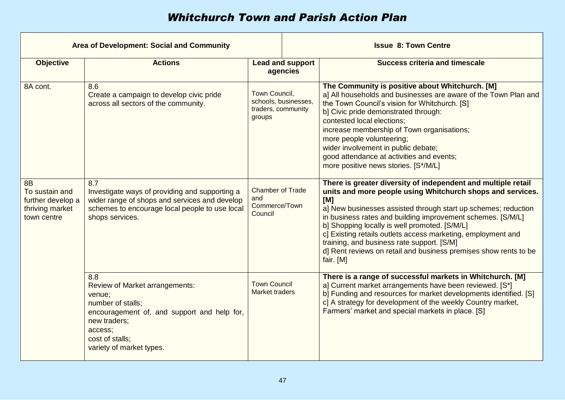| <b>Area of Development: Social and Community</b>                                   |                                                                                                                                                                                                      |                                                                                                            |                                     | <b>Issue 8: Town Centre</b>                                                                                                                                                                                                                                                                                                                                                                                                                                                                                         |
|------------------------------------------------------------------------------------|------------------------------------------------------------------------------------------------------------------------------------------------------------------------------------------------------|------------------------------------------------------------------------------------------------------------|-------------------------------------|---------------------------------------------------------------------------------------------------------------------------------------------------------------------------------------------------------------------------------------------------------------------------------------------------------------------------------------------------------------------------------------------------------------------------------------------------------------------------------------------------------------------|
| <b>Objective</b>                                                                   | <b>Actions</b>                                                                                                                                                                                       |                                                                                                            | <b>Lead and support</b><br>agencies | <b>Success criteria and timescale</b>                                                                                                                                                                                                                                                                                                                                                                                                                                                                               |
| 8A cont.                                                                           | 8.6<br>Create a campaign to develop civic pride<br>across all sectors of the community.                                                                                                              | Town Council,<br>schools, businesses,<br>traders, community<br>groups                                      |                                     | The Community is positive about Whitchurch. [M]<br>a] All households and businesses are aware of the Town Plan and<br>the Town Council's vision for Whitchurch. [S]<br>b] Civic pride demonstrated through:<br>contested local elections;<br>increase membership of Town organisations;<br>more people volunteering;<br>wider involvement in public debate;<br>good attendance at activities and events;<br>more positive news stories. [S*/M/L]                                                                    |
| <b>8B</b><br>To sustain and<br>further develop a<br>thriving market<br>town centre | 8.7<br>Investigate ways of providing and supporting a<br>wider range of shops and services and develop<br>schemes to encourage local people to use local<br>shops services.                          | <b>Chamber of Trade</b><br>and<br>Commerce/Town<br>Council<br><b>Town Council</b><br><b>Market traders</b> |                                     | There is greater diversity of independent and multiple retail<br>units and more people using Whitchurch shops and services.<br>[M]<br>a] New businesses assisted through start up schemes; reduction<br>in business rates and building improvement schemes. [S/M/L]<br>b] Shopping locally is well promoted. [S/M/L]<br>c] Existing retails outlets access marketing, employment and<br>training, and business rate support. [S/M]<br>d] Rent reviews on retail and business premises show rents to be<br>fair. [M] |
|                                                                                    | 8.8<br><b>Review of Market arrangements:</b><br>venue;<br>number of stalls;<br>encouragement of, and support and help for,<br>new traders;<br>access;<br>cost of stalls;<br>variety of market types. |                                                                                                            |                                     | There is a range of successful markets in Whitchurch. [M]<br>a] Current market arrangements have been reviewed. [S*]<br>b] Funding and resources for market developments identified. [S]<br>c] A strategy for development of the weekly Country market,<br>Farmers' market and special markets in place. [S]                                                                                                                                                                                                        |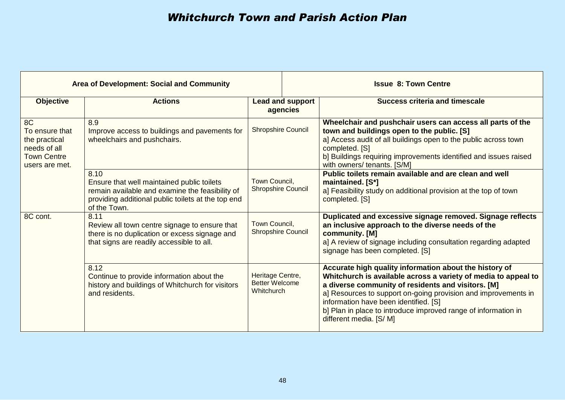| <b>Area of Development: Social and Community</b>                                              |                                                                                                                                                                             |                                                         | <b>Issue 8: Town Centre</b>                                                                                                                                                                                                                                                                                                                                                            |  |  |
|-----------------------------------------------------------------------------------------------|-----------------------------------------------------------------------------------------------------------------------------------------------------------------------------|---------------------------------------------------------|----------------------------------------------------------------------------------------------------------------------------------------------------------------------------------------------------------------------------------------------------------------------------------------------------------------------------------------------------------------------------------------|--|--|
| <b>Objective</b>                                                                              | <b>Actions</b>                                                                                                                                                              | <b>Lead and support</b><br>agencies                     | Success criteria and timescale                                                                                                                                                                                                                                                                                                                                                         |  |  |
| 8C<br>To ensure that<br>the practical<br>needs of all<br><b>Town Centre</b><br>users are met. | 8.9<br>Improve access to buildings and pavements for<br>wheelchairs and pushchairs.                                                                                         | <b>Shropshire Council</b>                               | Wheelchair and pushchair users can access all parts of the<br>town and buildings open to the public. [S]<br>a] Access audit of all buildings open to the public across town<br>completed. [S]<br>b] Buildings requiring improvements identified and issues raised<br>with owners/ tenants. [S/M]                                                                                       |  |  |
|                                                                                               | 8.10<br>Ensure that well maintained public toilets<br>remain available and examine the feasibility of<br>providing additional public toilets at the top end<br>of the Town. | Town Council,<br><b>Shropshire Council</b>              | Public toilets remain available and are clean and well<br>maintained. [S*]<br>a] Feasibility study on additional provision at the top of town<br>completed. [S]                                                                                                                                                                                                                        |  |  |
| 8C cont.                                                                                      | 8.11<br>Review all town centre signage to ensure that<br>there is no duplication or excess signage and<br>that signs are readily accessible to all.                         | Town Council,<br><b>Shropshire Council</b>              | Duplicated and excessive signage removed. Signage reflects<br>an inclusive approach to the diverse needs of the<br>community. [M]<br>a] A review of signage including consultation regarding adapted<br>signage has been completed. [S]                                                                                                                                                |  |  |
|                                                                                               | 8.12<br>Continue to provide information about the<br>history and buildings of Whitchurch for visitors<br>and residents.                                                     | Heritage Centre,<br><b>Better Welcome</b><br>Whitchurch | Accurate high quality information about the history of<br>Whitchurch is available across a variety of media to appeal to<br>a diverse community of residents and visitors. [M]<br>a] Resources to support on-going provision and improvements in<br>information have been identified. [S]<br>b] Plan in place to introduce improved range of information in<br>different media. [S/ M] |  |  |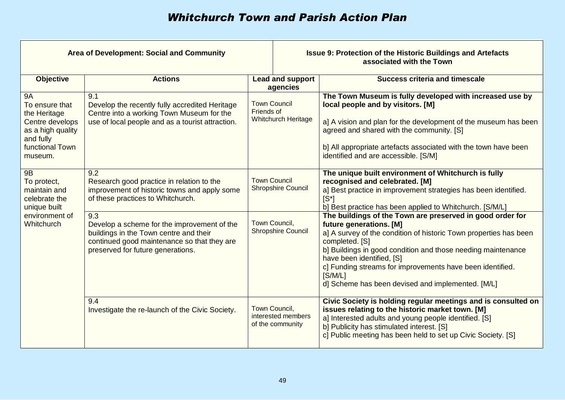| Area of Development: Social and Community                                                                                      |                                                                                                                                                                                  |                                                                 | <b>Issue 9: Protection of the Historic Buildings and Artefacts</b><br>associated with the Town                                                                                                                                                                                                                                                                                                        |  |  |
|--------------------------------------------------------------------------------------------------------------------------------|----------------------------------------------------------------------------------------------------------------------------------------------------------------------------------|-----------------------------------------------------------------|-------------------------------------------------------------------------------------------------------------------------------------------------------------------------------------------------------------------------------------------------------------------------------------------------------------------------------------------------------------------------------------------------------|--|--|
| <b>Objective</b>                                                                                                               | <b>Actions</b>                                                                                                                                                                   | <b>Lead and support</b><br>agencies                             | <b>Success criteria and timescale</b>                                                                                                                                                                                                                                                                                                                                                                 |  |  |
| <b>9A</b><br>To ensure that<br>the Heritage<br>Centre develops<br>as a high quality<br>and fully<br>functional Town<br>museum. | 9.1<br>Develop the recently fully accredited Heritage<br>Centre into a working Town Museum for the<br>use of local people and as a tourist attraction.                           | <b>Town Council</b><br>Friends of<br><b>Whitchurch Heritage</b> | The Town Museum is fully developed with increased use by<br>local people and by visitors. [M]<br>a] A vision and plan for the development of the museum has been<br>agreed and shared with the community. [S]<br>b] All appropriate artefacts associated with the town have been<br>identified and are accessible. [S/M]                                                                              |  |  |
| <b>9B</b><br>To protect,<br>maintain and<br>celebrate the<br>unique built                                                      | 9.2<br>Research good practice in relation to the<br>improvement of historic towns and apply some<br>of these practices to Whitchurch.                                            | <b>Town Council</b><br><b>Shropshire Council</b>                | The unique built environment of Whitchurch is fully<br>recognised and celebrated. [M]<br>a] Best practice in improvement strategies has been identified.<br>$\mathsf{IS}^*$<br>b] Best practice has been applied to Whitchurch. [S/M/L]                                                                                                                                                               |  |  |
| environment of<br>Whitchurch                                                                                                   | 9.3<br>Develop a scheme for the improvement of the<br>buildings in the Town centre and their<br>continued good maintenance so that they are<br>preserved for future generations. | Town Council,<br><b>Shropshire Council</b>                      | The buildings of the Town are preserved in good order for<br>future generations. [M]<br>a] A survey of the condition of historic Town properties has been<br>completed. [S]<br>b] Buildings in good condition and those needing maintenance<br>have been identified, [S]<br>c] Funding streams for improvements have been identified.<br>[S/M/L]<br>d] Scheme has been devised and implemented. [M/L] |  |  |
|                                                                                                                                | 9.4<br>Investigate the re-launch of the Civic Society.                                                                                                                           | Town Council,<br>interested members<br>of the community         | Civic Society is holding regular meetings and is consulted on<br>issues relating to the historic market town. [M]<br>a] Interested adults and young people identified. [S]<br>b] Publicity has stimulated interest. [S]<br>c] Public meeting has been held to set up Civic Society. [S]                                                                                                               |  |  |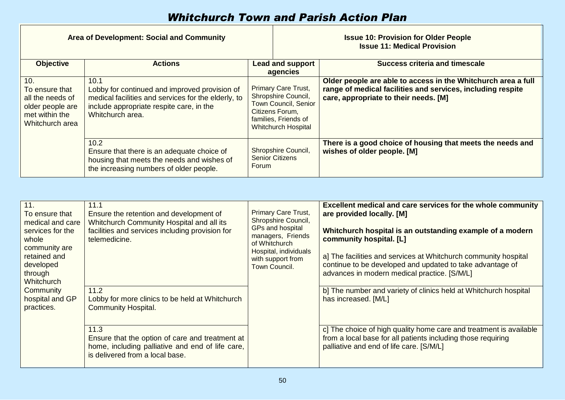| Area of Development: Social and Community                                                          |                                                                                                                                                                              |                                                                                                                                                           | <b>Issue 10: Provision for Older People</b><br><b>Issue 11: Medical Provision</b> |                                                                                                                                                                       |  |
|----------------------------------------------------------------------------------------------------|------------------------------------------------------------------------------------------------------------------------------------------------------------------------------|-----------------------------------------------------------------------------------------------------------------------------------------------------------|-----------------------------------------------------------------------------------|-----------------------------------------------------------------------------------------------------------------------------------------------------------------------|--|
| <b>Objective</b>                                                                                   | <b>Actions</b>                                                                                                                                                               | <b>Lead and support</b><br>agencies                                                                                                                       |                                                                                   | <b>Success criteria and timescale</b>                                                                                                                                 |  |
| 10.<br>To ensure that<br>all the needs of<br>older people are<br>met within the<br>Whitchurch area | 10.1<br>Lobby for continued and improved provision of<br>medical facilities and services for the elderly, to<br>include appropriate respite care, in the<br>Whitchurch area. | <b>Primary Care Trust,</b><br>Shropshire Council,<br><b>Town Council, Senior</b><br>Citizens Forum,<br>families, Friends of<br><b>Whitchurch Hospital</b> |                                                                                   | Older people are able to access in the Whitchurch area a full<br>range of medical facilities and services, including respite<br>care, appropriate to their needs. [M] |  |
|                                                                                                    | 10.2<br>Ensure that there is an adequate choice of<br>housing that meets the needs and wishes of<br>the increasing numbers of older people.                                  | Forum                                                                                                                                                     | Shropshire Council,<br><b>Senior Citizens</b>                                     | There is a good choice of housing that meets the needs and<br>wishes of older people. [M]                                                                             |  |

| 11.<br>To ensure that<br>medical and care<br>services for the<br>whole<br>community are<br>retained and<br>developed<br>through<br>Whitchurch | 11.1<br>Ensure the retention and development of<br>Whitchurch Community Hospital and all its<br>facilities and services including provision for<br>telemedicine.<br>of Whitchurch<br>Town Council. | <b>Primary Care Trust,</b><br>Shropshire Council,<br>GPs and hospital<br>managers, Friends<br>Hospital, individuals<br>with support from | <b>Excellent medical and care services for the whole community</b><br>are provided locally. [M]<br>Whitchurch hospital is an outstanding example of a modern<br>community hospital. [L]<br>a] The facilities and services at Whitchurch community hospital<br>continue to be developed and updated to take advantage of<br>advances in modern medical practice. [S/M/L] |
|-----------------------------------------------------------------------------------------------------------------------------------------------|----------------------------------------------------------------------------------------------------------------------------------------------------------------------------------------------------|------------------------------------------------------------------------------------------------------------------------------------------|-------------------------------------------------------------------------------------------------------------------------------------------------------------------------------------------------------------------------------------------------------------------------------------------------------------------------------------------------------------------------|
| Community<br>hospital and GP<br>practices.                                                                                                    | 11.2<br>Lobby for more clinics to be held at Whitchurch<br><b>Community Hospital.</b>                                                                                                              |                                                                                                                                          | b] The number and variety of clinics held at Whitchurch hospital<br>has increased. [M/L]                                                                                                                                                                                                                                                                                |
|                                                                                                                                               | 11.3<br>Ensure that the option of care and treatment at<br>home, including palliative and end of life care,<br>is delivered from a local base.                                                     |                                                                                                                                          | c] The choice of high quality home care and treatment is available<br>from a local base for all patients including those requiring<br>palliative and end of life care. [S/M/L]                                                                                                                                                                                          |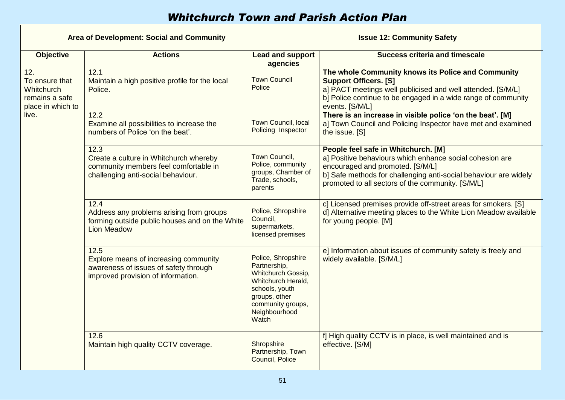| Area of Development: Social and Community                                                                                                                                                        |                                                                                                                               |                                                                                                                                                                  | <b>Issue 12: Community Safety</b>                                                                                                                                                                                                                            |  |  |
|--------------------------------------------------------------------------------------------------------------------------------------------------------------------------------------------------|-------------------------------------------------------------------------------------------------------------------------------|------------------------------------------------------------------------------------------------------------------------------------------------------------------|--------------------------------------------------------------------------------------------------------------------------------------------------------------------------------------------------------------------------------------------------------------|--|--|
| <b>Objective</b>                                                                                                                                                                                 | <b>Actions</b>                                                                                                                | <b>Lead and support</b><br>agencies                                                                                                                              | <b>Success criteria and timescale</b>                                                                                                                                                                                                                        |  |  |
| 12.<br>To ensure that<br>Whitchurch<br>remains a safe<br>place in which to                                                                                                                       | 12.1<br>Maintain a high positive profile for the local<br>Police.                                                             | <b>Town Council</b><br><b>Police</b>                                                                                                                             | The whole Community knows its Police and Community<br><b>Support Officers. [S]</b><br>a] PACT meetings well publicised and well attended. [S/M/L]<br>b] Police continue to be engaged in a wide range of community<br>events. [S/M/L]                        |  |  |
| live.                                                                                                                                                                                            | 12.2<br>Examine all possibilities to increase the<br>numbers of Police 'on the beat'.                                         | Town Council, local<br>Policing Inspector                                                                                                                        | There is an increase in visible police 'on the beat'. [M]<br>a] Town Council and Policing Inspector have met and examined<br>the issue. [S]                                                                                                                  |  |  |
|                                                                                                                                                                                                  | 12.3<br>Create a culture in Whitchurch whereby<br>community members feel comfortable in<br>challenging anti-social behaviour. | Town Council,<br>Police, community<br>groups, Chamber of<br>Trade, schools,<br>parents                                                                           | People feel safe in Whitchurch. [M]<br>a] Positive behaviours which enhance social cohesion are<br>encouraged and promoted. [S/M/L]<br>b] Safe methods for challenging anti-social behaviour are widely<br>promoted to all sectors of the community. [S/M/L] |  |  |
| 12.4<br>Police, Shropshire<br>Address any problems arising from groups<br>Council,<br>forming outside public houses and on the White<br>supermarkets,<br><b>Lion Meadow</b><br>licensed premises |                                                                                                                               | c] Licensed premises provide off-street areas for smokers. [S]<br>d] Alternative meeting places to the White Lion Meadow available<br>for young people. [M]      |                                                                                                                                                                                                                                                              |  |  |
|                                                                                                                                                                                                  | 12.5<br>Explore means of increasing community<br>awareness of issues of safety through<br>improved provision of information.  | Police, Shropshire<br>Partnership,<br>Whitchurch Gossip,<br>Whitchurch Herald,<br>schools, youth<br>groups, other<br>community groups,<br>Neighbourhood<br>Watch | e] Information about issues of community safety is freely and<br>widely available. [S/M/L]                                                                                                                                                                   |  |  |
|                                                                                                                                                                                                  | 12.6<br>Maintain high quality CCTV coverage.                                                                                  | Shropshire<br>Partnership, Town<br>Council, Police                                                                                                               | f] High quality CCTV is in place, is well maintained and is<br>effective. [S/M]                                                                                                                                                                              |  |  |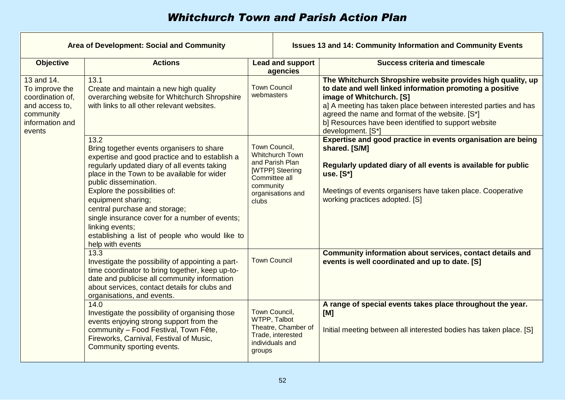| Area of Development: Social and Community                                                                    |                                                                                                                                                                                                                                                                                                                                                                                                                                                                 |                                                                                                                                                                                                       |                                                             | <b>Issues 13 and 14: Community Information and Community Events</b>                                                                                                                                                                                                                                                                                    |
|--------------------------------------------------------------------------------------------------------------|-----------------------------------------------------------------------------------------------------------------------------------------------------------------------------------------------------------------------------------------------------------------------------------------------------------------------------------------------------------------------------------------------------------------------------------------------------------------|-------------------------------------------------------------------------------------------------------------------------------------------------------------------------------------------------------|-------------------------------------------------------------|--------------------------------------------------------------------------------------------------------------------------------------------------------------------------------------------------------------------------------------------------------------------------------------------------------------------------------------------------------|
| <b>Objective</b>                                                                                             | <b>Actions</b>                                                                                                                                                                                                                                                                                                                                                                                                                                                  |                                                                                                                                                                                                       | <b>Lead and support</b><br>agencies                         | <b>Success criteria and timescale</b>                                                                                                                                                                                                                                                                                                                  |
| 13 and 14.<br>To improve the<br>coordination of.<br>and access to,<br>community<br>information and<br>events | 13.1<br>Create and maintain a new high quality<br>overarching website for Whitchurch Shropshire<br>with links to all other relevant websites.                                                                                                                                                                                                                                                                                                                   | <b>Town Council</b><br>webmasters<br>Town Council,<br><b>Whitchurch Town</b><br>and Parish Plan<br>[WTPP] Steering<br>Committee all<br>community<br>organisations and<br>clubs<br><b>Town Council</b> |                                                             | The Whitchurch Shropshire website provides high quality, up<br>to date and well linked information promoting a positive<br>image of Whitchurch. [S]<br>a] A meeting has taken place between interested parties and has<br>agreed the name and format of the website. [S*]<br>b] Resources have been identified to support website<br>development. [S*] |
|                                                                                                              | 13.2<br>Bring together events organisers to share<br>expertise and good practice and to establish a<br>regularly updated diary of all events taking<br>place in the Town to be available for wider<br>public dissemination.<br>Explore the possibilities of:<br>equipment sharing;<br>central purchase and storage;<br>single insurance cover for a number of events;<br>linking events;<br>establishing a list of people who would like to<br>help with events |                                                                                                                                                                                                       |                                                             | Expertise and good practice in events organisation are being<br>shared. [S/M]<br>Regularly updated diary of all events is available for public<br>use. [S*]<br>Meetings of events organisers have taken place. Cooperative<br>working practices adopted. [S]                                                                                           |
|                                                                                                              | 13.3<br>Investigate the possibility of appointing a part-<br>time coordinator to bring together, keep up-to-<br>date and publicise all community information<br>about services, contact details for clubs and<br>organisations, and events.                                                                                                                                                                                                                     |                                                                                                                                                                                                       |                                                             | Community information about services, contact details and<br>events is well coordinated and up to date. [S]                                                                                                                                                                                                                                            |
|                                                                                                              | 14.0<br>Investigate the possibility of organising those<br>events enjoying strong support from the<br>community - Food Festival, Town Fête,<br>Fireworks, Carnival, Festival of Music,<br>Community sporting events.                                                                                                                                                                                                                                            | Town Council,<br>WTPP, Talbot<br>groups                                                                                                                                                               | Theatre, Chamber of<br>Trade, interested<br>individuals and | A range of special events takes place throughout the year.<br>[M]<br>Initial meeting between all interested bodies has taken place. [S]                                                                                                                                                                                                                |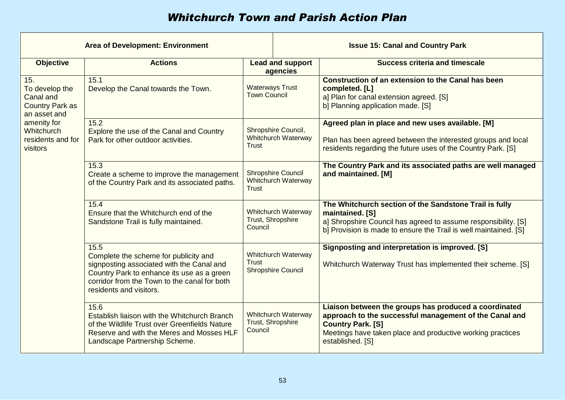| <b>Area of Development: Environment</b>                                                                                                    |                                                                                                                                                                                                                     |                                                                         | <b>Issue 15: Canal and Country Park</b> |                                                                                                                                                                                                                               |
|--------------------------------------------------------------------------------------------------------------------------------------------|---------------------------------------------------------------------------------------------------------------------------------------------------------------------------------------------------------------------|-------------------------------------------------------------------------|-----------------------------------------|-------------------------------------------------------------------------------------------------------------------------------------------------------------------------------------------------------------------------------|
| <b>Objective</b>                                                                                                                           | <b>Actions</b>                                                                                                                                                                                                      |                                                                         | <b>Lead and support</b><br>agencies     | <b>Success criteria and timescale</b>                                                                                                                                                                                         |
| 15.<br>To develop the<br>Canal and<br><b>Country Park as</b><br>an asset and<br>amenity for<br>Whitchurch<br>residents and for<br>visitors | 15.1<br>Develop the Canal towards the Town.                                                                                                                                                                         | <b>Waterways Trust</b><br><b>Town Council</b>                           |                                         | <b>Construction of an extension to the Canal has been</b><br>completed. [L]<br>a] Plan for canal extension agreed. [S]<br>b] Planning application made. [S]                                                                   |
|                                                                                                                                            | 15.2<br>Explore the use of the Canal and Country<br>Park for other outdoor activities.                                                                                                                              | Shropshire Council,<br><b>Whitchurch Waterway</b><br><b>Trust</b>       |                                         | Agreed plan in place and new uses available. [M]<br>Plan has been agreed between the interested groups and local<br>residents regarding the future uses of the Country Park. [S]                                              |
|                                                                                                                                            | 15.3<br>Create a scheme to improve the management<br>of the Country Park and its associated paths.                                                                                                                  | <b>Shropshire Council</b><br><b>Whitchurch Waterway</b><br><b>Trust</b> |                                         | The Country Park and its associated paths are well managed<br>and maintained. [M]                                                                                                                                             |
|                                                                                                                                            | 15.4<br>Ensure that the Whitchurch end of the<br>Sandstone Trail is fully maintained.                                                                                                                               | <b>Whitchurch Waterway</b><br>Trust, Shropshire<br>Council              |                                         | The Whitchurch section of the Sandstone Trail is fully<br>maintained. [S]<br>a] Shropshire Council has agreed to assume responsibility. [S]<br>b] Provision is made to ensure the Trail is well maintained. [S]               |
|                                                                                                                                            | 15.5<br>Complete the scheme for publicity and<br>signposting associated with the Canal and<br>Country Park to enhance its use as a green<br>corridor from the Town to the canal for both<br>residents and visitors. | <b>Whitchurch Waterway</b><br><b>Trust</b><br><b>Shropshire Council</b> |                                         | Signposting and interpretation is improved. [S]<br>Whitchurch Waterway Trust has implemented their scheme. [S]                                                                                                                |
|                                                                                                                                            | 15.6<br>Establish liaison with the Whitchurch Branch<br>of the Wildlife Trust over Greenfields Nature<br>Reserve and with the Meres and Mosses HLF<br>Landscape Partnership Scheme.                                 | <b>Whitchurch Waterway</b><br>Trust, Shropshire<br>Council              |                                         | Liaison between the groups has produced a coordinated<br>approach to the successful management of the Canal and<br><b>Country Park. [S]</b><br>Meetings have taken place and productive working practices<br>established. [S] |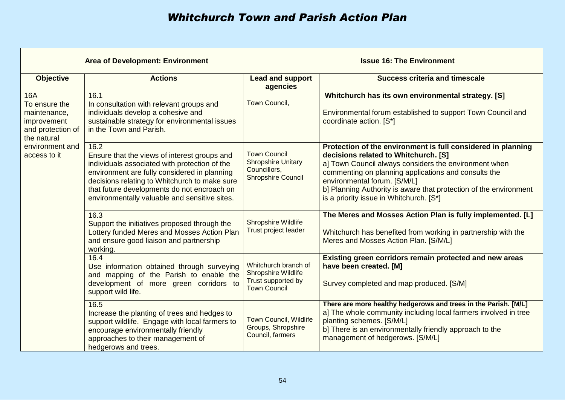| <b>Area of Development: Environment</b>                                                                                                                                                                                                                              |                                                                                                                                                                                                                                                                                                        |                                                                                                                                                                                                                                          | <b>Issue 16: The Environment</b>             |                                                                                                                                                                                                                                                                                                                                                                       |  |
|----------------------------------------------------------------------------------------------------------------------------------------------------------------------------------------------------------------------------------------------------------------------|--------------------------------------------------------------------------------------------------------------------------------------------------------------------------------------------------------------------------------------------------------------------------------------------------------|------------------------------------------------------------------------------------------------------------------------------------------------------------------------------------------------------------------------------------------|----------------------------------------------|-----------------------------------------------------------------------------------------------------------------------------------------------------------------------------------------------------------------------------------------------------------------------------------------------------------------------------------------------------------------------|--|
| <b>Objective</b>                                                                                                                                                                                                                                                     | <b>Actions</b>                                                                                                                                                                                                                                                                                         |                                                                                                                                                                                                                                          | <b>Lead and support</b><br>agencies          | <b>Success criteria and timescale</b>                                                                                                                                                                                                                                                                                                                                 |  |
| <b>16A</b><br>16.1<br>To ensure the<br>In consultation with relevant groups and<br>individuals develop a cohesive and<br>maintenance,<br>sustainable strategy for environmental issues<br>improvement<br>in the Town and Parish.<br>and protection of<br>the natural |                                                                                                                                                                                                                                                                                                        | Town Council,                                                                                                                                                                                                                            |                                              | Whitchurch has its own environmental strategy. [S]<br>Environmental forum established to support Town Council and<br>coordinate action. [S*]                                                                                                                                                                                                                          |  |
| environment and<br>access to it                                                                                                                                                                                                                                      | 16.2<br>Ensure that the views of interest groups and<br>individuals associated with protection of the<br>environment are fully considered in planning<br>decisions relating to Whitchurch to make sure<br>that future developments do not encroach on<br>environmentally valuable and sensitive sites. | <b>Town Council</b><br><b>Shropshire Unitary</b><br>Councillors,<br><b>Shropshire Council</b><br>Shropshire Wildlife<br>Trust project leader<br>Whitchurch branch of<br>Shropshire Wildlife<br>Trust supported by<br><b>Town Council</b> |                                              | Protection of the environment is full considered in planning<br>decisions related to Whitchurch. [S]<br>a] Town Council always considers the environment when<br>commenting on planning applications and consults the<br>environmental forum. [S/M/L]<br>b] Planning Authority is aware that protection of the environment<br>is a priority issue in Whitchurch. [S*] |  |
|                                                                                                                                                                                                                                                                      | 16.3<br>Support the initiatives proposed through the<br>Lottery funded Meres and Mosses Action Plan<br>and ensure good liaison and partnership<br>working.                                                                                                                                             |                                                                                                                                                                                                                                          |                                              | The Meres and Mosses Action Plan is fully implemented. [L]<br>Whitchurch has benefited from working in partnership with the<br>Meres and Mosses Action Plan. [S/M/L]                                                                                                                                                                                                  |  |
|                                                                                                                                                                                                                                                                      | 16.4<br>Use information obtained through surveying<br>and mapping of the Parish to enable the<br>development of more green corridors to<br>support wild life.                                                                                                                                          |                                                                                                                                                                                                                                          |                                              | Existing green corridors remain protected and new areas<br>have been created. [M]<br>Survey completed and map produced. [S/M]                                                                                                                                                                                                                                         |  |
|                                                                                                                                                                                                                                                                      | 16.5<br>Increase the planting of trees and hedges to<br>support wildlife. Engage with local farmers to<br>encourage environmentally friendly<br>approaches to their management of<br>hedgerows and trees.                                                                                              | Council, farmers                                                                                                                                                                                                                         | Town Council, Wildlife<br>Groups, Shropshire | There are more healthy hedgerows and trees in the Parish. [M/L]<br>a] The whole community including local farmers involved in tree<br>planting schemes. [S/M/L]<br>b] There is an environmentally friendly approach to the<br>management of hedgerows. [S/M/L]                                                                                                        |  |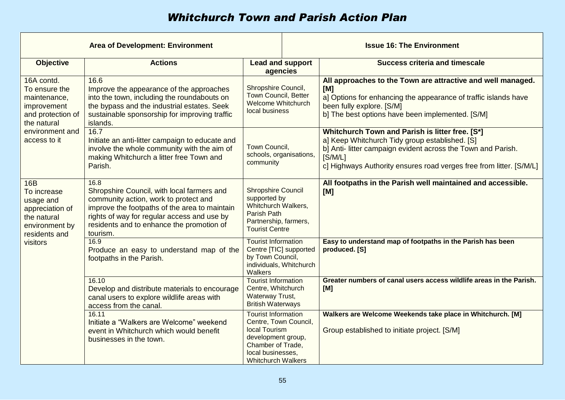| <b>Area of Development: Environment</b>                                                                     |                                                                                                                                                                                                                                                      |                                                                                                                                                                   | <b>Issue 16: The Environment</b>                                                                                                                                                                                                                    |  |
|-------------------------------------------------------------------------------------------------------------|------------------------------------------------------------------------------------------------------------------------------------------------------------------------------------------------------------------------------------------------------|-------------------------------------------------------------------------------------------------------------------------------------------------------------------|-----------------------------------------------------------------------------------------------------------------------------------------------------------------------------------------------------------------------------------------------------|--|
| <b>Objective</b>                                                                                            | <b>Actions</b>                                                                                                                                                                                                                                       | <b>Lead and support</b><br>agencies                                                                                                                               | <b>Success criteria and timescale</b>                                                                                                                                                                                                               |  |
| 16A contd.<br>To ensure the<br>maintenance,<br>improvement<br>and protection of<br>the natural              | 16.6<br>Improve the appearance of the approaches<br>into the town, including the roundabouts on<br>the bypass and the industrial estates. Seek<br>sustainable sponsorship for improving traffic<br>islands.                                          | Shropshire Council,<br>Town Council, Better<br><b>Welcome Whitchurch</b><br>local business                                                                        | All approaches to the Town are attractive and well managed.<br>[M]<br>a] Options for enhancing the appearance of traffic islands have<br>been fully explore. [S/M]<br>b] The best options have been implemented. [S/M]                              |  |
| environment and<br>access to it                                                                             | 16.7<br>Initiate an anti-litter campaign to educate and<br>involve the whole community with the aim of<br>making Whitchurch a litter free Town and<br>Parish.                                                                                        | Town Council,<br>schools, organisations,<br>community                                                                                                             | Whitchurch Town and Parish is litter free. [S*]<br>a] Keep Whitchurch Tidy group established. [S]<br>b] Anti- litter campaign evident across the Town and Parish.<br>[S/M/L]<br>c] Highways Authority ensures road verges free from litter. [S/M/L] |  |
| <b>16B</b><br>To increase<br>usage and<br>appreciation of<br>the natural<br>environment by<br>residents and | 16.8<br>Shropshire Council, with local farmers and<br>community action, work to protect and<br>improve the footpaths of the area to maintain<br>rights of way for regular access and use by<br>residents and to enhance the promotion of<br>tourism. | <b>Shropshire Council</b><br>supported by<br>Whitchurch Walkers,<br><b>Parish Path</b><br>Partnership, farmers,<br><b>Tourist Centre</b>                          | All footpaths in the Parish well maintained and accessible.<br>[M]                                                                                                                                                                                  |  |
| visitors                                                                                                    | 16.9<br><b>Tourist Information</b><br>Centre [TIC] supported<br>Produce an easy to understand map of the<br>by Town Council,<br>footpaths in the Parish.<br>individuals, Whitchurch<br>Walkers                                                       |                                                                                                                                                                   | Easy to understand map of footpaths in the Parish has been<br>produced. [S]                                                                                                                                                                         |  |
|                                                                                                             | 16.10<br>Develop and distribute materials to encourage<br>canal users to explore wildlife areas with<br>access from the canal.                                                                                                                       | <b>Tourist Information</b><br>Centre, Whitchurch<br>Waterway Trust,<br><b>British Waterways</b>                                                                   | Greater numbers of canal users access wildlife areas in the Parish.<br>[M]                                                                                                                                                                          |  |
|                                                                                                             | 16.11<br>Initiate a "Walkers are Welcome" weekend<br>event in Whitchurch which would benefit<br>businesses in the town.                                                                                                                              | <b>Tourist Information</b><br>Centre, Town Council,<br>local Tourism<br>development group,<br>Chamber of Trade,<br>local businesses,<br><b>Whitchurch Walkers</b> | Walkers are Welcome Weekends take place in Whitchurch. [M]<br>Group established to initiate project. [S/M]                                                                                                                                          |  |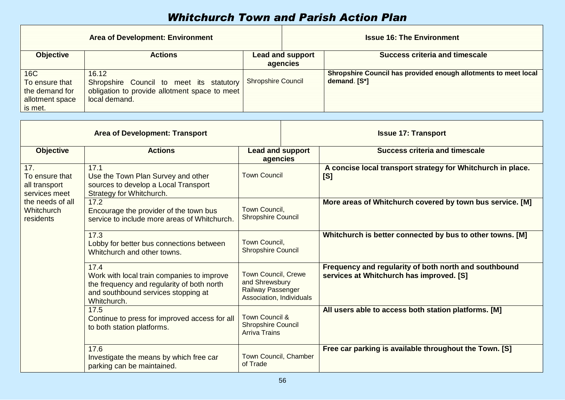|                                                                       | <b>Area of Development: Environment</b>                                                                             |                           |                                     | <b>Issue 16: The Environment</b>                                                |
|-----------------------------------------------------------------------|---------------------------------------------------------------------------------------------------------------------|---------------------------|-------------------------------------|---------------------------------------------------------------------------------|
| <b>Objective</b>                                                      | <b>Actions</b>                                                                                                      |                           | <b>Lead and support</b><br>agencies | <b>Success criteria and timescale</b>                                           |
| 16C<br>To ensure that<br>the demand for<br>allotment space<br>is met. | 16.12<br>Shropshire Council to meet its statutory<br>obligation to provide allotment space to meet<br>local demand. | <b>Shropshire Council</b> |                                     | Shropshire Council has provided enough allotments to meet local<br>demand. [S*] |

| <b>Area of Development: Transport</b>                                                                                         |                                                                                                                                                        |                                                                                                      | <b>Issue 17: Transport</b>                                |                                                                                                   |  |
|-------------------------------------------------------------------------------------------------------------------------------|--------------------------------------------------------------------------------------------------------------------------------------------------------|------------------------------------------------------------------------------------------------------|-----------------------------------------------------------|---------------------------------------------------------------------------------------------------|--|
| <b>Objective</b>                                                                                                              | <b>Actions</b>                                                                                                                                         | <b>Lead and support</b><br>agencies                                                                  |                                                           | <b>Success criteria and timescale</b>                                                             |  |
| 17.<br>To ensure that<br>all transport<br>services meet                                                                       | 17.1<br>Use the Town Plan Survey and other<br>sources to develop a Local Transport<br>Strategy for Whitchurch.                                         | <b>Town Council</b>                                                                                  |                                                           | A concise local transport strategy for Whitchurch in place.<br>[S]                                |  |
| the needs of all<br>Whitchurch<br>residents                                                                                   | 17.2<br>Encourage the provider of the town bus<br>service to include more areas of Whitchurch.                                                         | Town Council,<br><b>Shropshire Council</b>                                                           |                                                           | More areas of Whitchurch covered by town bus service. [M]                                         |  |
| 17.3<br>Town Council,<br>Lobby for better bus connections between<br><b>Shropshire Council</b><br>Whitchurch and other towns. |                                                                                                                                                        |                                                                                                      | Whitchurch is better connected by bus to other towns. [M] |                                                                                                   |  |
|                                                                                                                               | 17.4<br>Work with local train companies to improve<br>the frequency and regularity of both north<br>and southbound services stopping at<br>Whitchurch. | <b>Town Council, Crewe</b><br>and Shrewsbury<br><b>Railway Passenger</b><br>Association, Individuals |                                                           | Frequency and regularity of both north and southbound<br>services at Whitchurch has improved. [S] |  |
|                                                                                                                               | 17.5<br>Continue to press for improved access for all<br>to both station platforms.                                                                    | <b>Town Council &amp;</b><br><b>Shropshire Council</b><br><b>Arriva Trains</b>                       |                                                           | All users able to access both station platforms. [M]                                              |  |
|                                                                                                                               | 17.6<br>Investigate the means by which free car<br>parking can be maintained.                                                                          | Town Council, Chamber<br>of Trade                                                                    |                                                           | Free car parking is available throughout the Town. [S]                                            |  |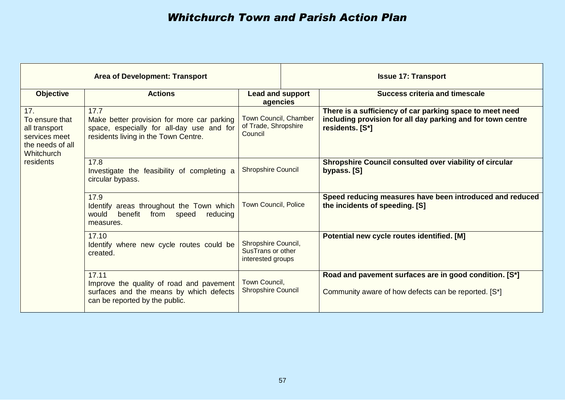| <b>Area of Development: Transport</b>                                                                       |                                                                                                                                         |                                                               | <b>Issue 17: Transport</b> |                                                                                                                                            |  |
|-------------------------------------------------------------------------------------------------------------|-----------------------------------------------------------------------------------------------------------------------------------------|---------------------------------------------------------------|----------------------------|--------------------------------------------------------------------------------------------------------------------------------------------|--|
| <b>Objective</b>                                                                                            | <b>Actions</b>                                                                                                                          | Lead and support<br>agencies                                  |                            | <b>Success criteria and timescale</b>                                                                                                      |  |
| 17.<br>To ensure that<br>all transport<br>services meet<br>the needs of all<br>Whitchurch                   | 17.7<br>Make better provision for more car parking<br>space, especially for all-day use and for<br>residents living in the Town Centre. | Town Council, Chamber<br>of Trade, Shropshire<br>Council      |                            | There is a sufficiency of car parking space to meet need<br>including provision for all day parking and for town centre<br>residents. [S*] |  |
| residents                                                                                                   | 17.8<br>Investigate the feasibility of completing a<br>circular bypass.                                                                 | <b>Shropshire Council</b>                                     |                            | Shropshire Council consulted over viability of circular<br>bypass. [S]                                                                     |  |
| 17.9<br>Identify areas throughout the Town which<br>benefit from<br>would<br>speed<br>reducing<br>measures. |                                                                                                                                         | <b>Town Council, Police</b>                                   |                            | Speed reducing measures have been introduced and reduced<br>the incidents of speeding. [S]                                                 |  |
|                                                                                                             | 17.10<br>Identify where new cycle routes could be<br>created.                                                                           | Shropshire Council,<br>SusTrans or other<br>interested groups |                            | Potential new cycle routes identified. [M]                                                                                                 |  |
|                                                                                                             | 17.11<br>Improve the quality of road and pavement<br>surfaces and the means by which defects<br>can be reported by the public.          | Town Council,<br><b>Shropshire Council</b>                    |                            | Road and pavement surfaces are in good condition. [S*]<br>Community aware of how defects can be reported. [S*]                             |  |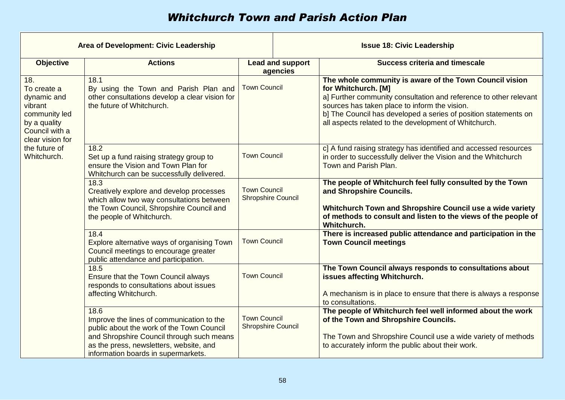| <b>Area of Development: Civic Leadership</b>                                                                        |                                                                                                                                                                                                                               |                                                  | <b>Issue 18: Civic Leadership</b> |                                                                                                                                                                                                                                                                                                                                  |
|---------------------------------------------------------------------------------------------------------------------|-------------------------------------------------------------------------------------------------------------------------------------------------------------------------------------------------------------------------------|--------------------------------------------------|-----------------------------------|----------------------------------------------------------------------------------------------------------------------------------------------------------------------------------------------------------------------------------------------------------------------------------------------------------------------------------|
| <b>Objective</b>                                                                                                    | <b>Actions</b>                                                                                                                                                                                                                | <b>Lead and support</b><br>agencies              |                                   | <b>Success criteria and timescale</b>                                                                                                                                                                                                                                                                                            |
| 18.<br>To create a<br>dynamic and<br>vibrant<br>community led<br>by a quality<br>Council with a<br>clear vision for | 18.1<br>By using the Town and Parish Plan and<br>other consultations develop a clear vision for<br>the future of Whitchurch.                                                                                                  | <b>Town Council</b>                              |                                   | The whole community is aware of the Town Council vision<br>for Whitchurch. [M]<br>a] Further community consultation and reference to other relevant<br>sources has taken place to inform the vision.<br>b] The Council has developed a series of position statements on<br>all aspects related to the development of Whitchurch. |
| the future of<br>Whitchurch.                                                                                        | 18.2<br>Set up a fund raising strategy group to<br>ensure the Vision and Town Plan for<br>Whitchurch can be successfully delivered.                                                                                           | <b>Town Council</b>                              |                                   | c] A fund raising strategy has identified and accessed resources<br>in order to successfully deliver the Vision and the Whitchurch<br>Town and Parish Plan.                                                                                                                                                                      |
|                                                                                                                     | 18.3<br>Creatively explore and develop processes<br>which allow two way consultations between<br>the Town Council, Shropshire Council and<br>the people of Whitchurch.                                                        | <b>Town Council</b><br><b>Shropshire Council</b> |                                   | The people of Whitchurch feel fully consulted by the Town<br>and Shropshire Councils.<br>Whitchurch Town and Shropshire Council use a wide variety<br>of methods to consult and listen to the views of the people of<br>Whitchurch.                                                                                              |
|                                                                                                                     | 18.4<br>Explore alternative ways of organising Town<br>Council meetings to encourage greater<br>public attendance and participation.                                                                                          | <b>Town Council</b>                              |                                   | There is increased public attendance and participation in the<br><b>Town Council meetings</b>                                                                                                                                                                                                                                    |
|                                                                                                                     | 18.5<br>Ensure that the Town Council always<br>responds to consultations about issues<br>affecting Whitchurch.                                                                                                                | <b>Town Council</b>                              |                                   | The Town Council always responds to consultations about<br>issues affecting Whitchurch.<br>A mechanism is in place to ensure that there is always a response<br>to consultations.                                                                                                                                                |
|                                                                                                                     | 18.6<br>Improve the lines of communication to the<br>public about the work of the Town Council<br>and Shropshire Council through such means<br>as the press, newsletters, website, and<br>information boards in supermarkets. | <b>Town Council</b><br><b>Shropshire Council</b> |                                   | The people of Whitchurch feel well informed about the work<br>of the Town and Shropshire Councils.<br>The Town and Shropshire Council use a wide variety of methods<br>to accurately inform the public about their work.                                                                                                         |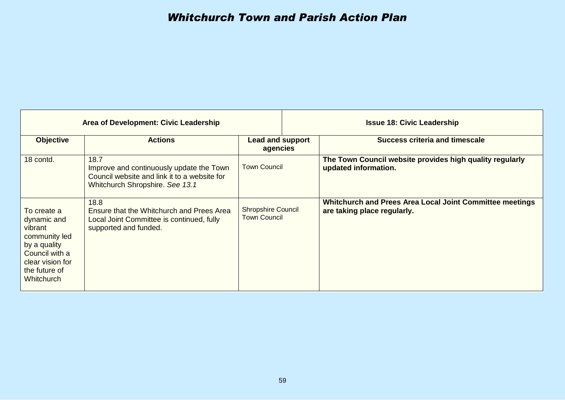| Area of Development: Civic Leadership                                                                                                       |                                                                                                                                     |                                                  |  | <b>Issue 18: Civic Leadership</b>                                                       |
|---------------------------------------------------------------------------------------------------------------------------------------------|-------------------------------------------------------------------------------------------------------------------------------------|--------------------------------------------------|--|-----------------------------------------------------------------------------------------|
| <b>Objective</b>                                                                                                                            | <b>Actions</b>                                                                                                                      | <b>Lead and support</b><br>agencies              |  | <b>Success criteria and timescale</b>                                                   |
| 18 contd.                                                                                                                                   | 18.7<br>Improve and continuously update the Town<br>Council website and link it to a website for<br>Whitchurch Shropshire. See 13.1 | <b>Town Council</b>                              |  | The Town Council website provides high quality regularly<br>updated information.        |
| To create a<br>dynamic and<br>vibrant<br>community led<br>by a quality<br>Council with a<br>clear vision for<br>the future of<br>Whitchurch | 18.8<br>Ensure that the Whitchurch and Prees Area<br>Local Joint Committee is continued, fully<br>supported and funded.             | <b>Shropshire Council</b><br><b>Town Council</b> |  | Whitchurch and Prees Area Local Joint Committee meetings<br>are taking place regularly. |

┯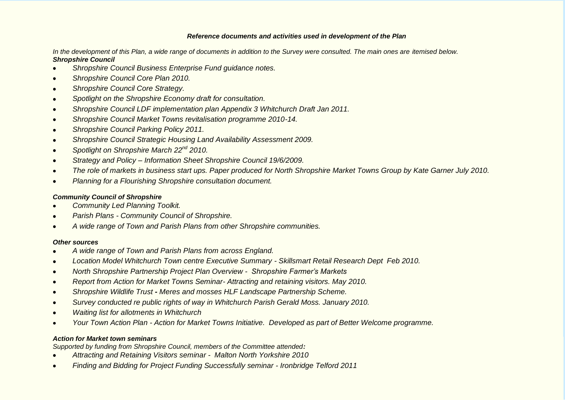#### *Reference documents and activities used in development of the Plan*

*In the development of this Plan, a wide range of documents in addition to the Survey were consulted. The main ones are itemised below. Shropshire Council*

- *Shropshire Council Business Enterprise Fund guidance notes.*  $\bullet$
- *Shropshire Council Core Plan 2010.*  $\bullet$
- *Shropshire Council Core Strategy.*   $\bullet$
- *Spotlight on the Shropshire Economy draft for consultation.*  $\bullet$
- *Shropshire Council LDF implementation plan Appendix 3 Whitchurch Draft Jan 2011.*  $\bullet$
- *Shropshire Council Market Towns revitalisation programme 2010-14.*  $\bullet$
- *Shropshire Council Parking Policy 2011.*  $\bullet$
- *Shropshire Council Strategic Housing Land Availability Assessment 2009.*  $\bullet$
- *Spotlight on Shropshire March 22nd 2010.*  $\bullet$
- *Strategy and Policy – Information Sheet Shropshire Council 19/6/2009.*   $\bullet$
- *The role of markets in business start ups. Paper produced for North Shropshire Market Towns Group by Kate Garner July 2010.*  $\bullet$
- *Planning for a Flourishing Shropshire consultation document.*  $\bullet$

#### *Community Council of Shropshire*

- *Community Led Planning Toolkit.*  $\bullet$
- *Parish Plans - Community Council of Shropshire.*  $\bullet$
- *A wide range of Town and Parish Plans from other Shropshire communities.*

#### *Other sources*

- *A wide range of Town and Parish Plans from across England.*  $\bullet$
- *Location Model Whitchurch Town centre Executive Summary - Skillsmart Retail Research Dept Feb 2010.*  $\bullet$
- *North Shropshire Partnership Project Plan Overview Shropshire Farmer's Markets*  $\bullet$
- *Report from Action for Market Towns Seminar- Attracting and retaining visitors. May 2010.*  $\bullet$
- *Shropshire Wildlife Trust - Meres and mosses HLF Landscape Partnership Scheme.*  $\bullet$
- *Survey conducted re public rights of way in Whitchurch Parish Gerald Moss. January 2010.*  $\bullet$
- *Waiting list for allotments in Whitchurch*  $\bullet$
- *Your Town Action Plan - Action for Market Towns Initiative. Developed as part of Better Welcome programme.*  $\bullet$

#### *Action for Market town seminars*

*Supported by funding from Shropshire Council, members of the Committee attended:*

- *Attracting and Retaining Visitors seminar Malton North Yorkshire 2010*  $\bullet$
- *Finding and Bidding for Project Funding Successfully seminar - Ironbridge Telford 2011* $\bullet$